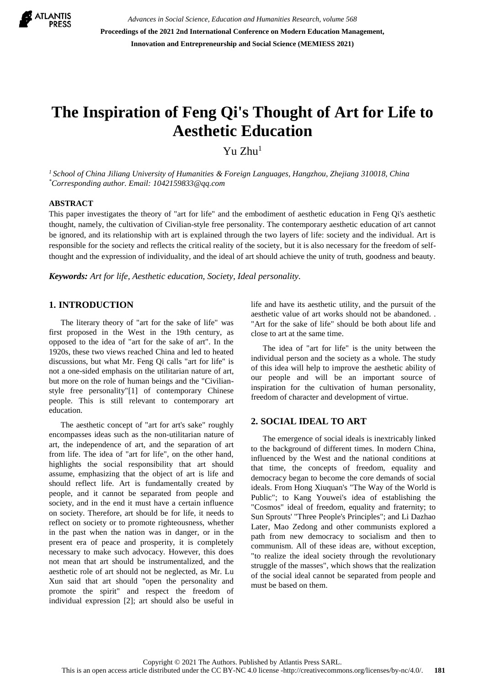

*Advances in Social Science, Education and Humanities Research, volume 568* **Proceedings of the 2021 2nd International Conference on Modern Education Management, Innovation and Entrepreneurship and Social Science (MEMIESS 2021)**

# **The Inspiration of Feng Qi's Thought of Art for Life to Aesthetic Education**

Yu Zhu<sup>1</sup>

*<sup>1</sup> School of China Jiliang University of Humanities & Foreign Languages, Hangzhou, Zhejiang 310018, China \*Corresponding author. Email: 1042159833@qq.com*

### **ABSTRACT**

This paper investigates the theory of "art for life" and the embodiment of aesthetic education in Feng Qi's aesthetic thought, namely, the cultivation of Civilian-style free personality. The contemporary aesthetic education of art cannot be ignored, and its relationship with art is explained through the two layers of life: society and the individual. Art is responsible for the society and reflects the critical reality of the society, but it is also necessary for the freedom of selfthought and the expression of individuality, and the ideal of art should achieve the unity of truth, goodness and beauty.

*Keywords: Art for life, Aesthetic education, Society, Ideal personality.*

## **1. INTRODUCTION**

The literary theory of "art for the sake of life" was first proposed in the West in the 19th century, as opposed to the idea of "art for the sake of art". In the 1920s, these two views reached China and led to heated discussions, but what Mr. Feng Qi calls "art for life" is not a one-sided emphasis on the utilitarian nature of art, but more on the role of human beings and the "Civilianstyle free personality"[1] of contemporary Chinese people. This is still relevant to contemporary art education.

The aesthetic concept of "art for art's sake" roughly encompasses ideas such as the non-utilitarian nature of art, the independence of art, and the separation of art from life. The idea of "art for life", on the other hand, highlights the social responsibility that art should assume, emphasizing that the object of art is life and should reflect life. Art is fundamentally created by people, and it cannot be separated from people and society, and in the end it must have a certain influence on society. Therefore, art should be for life, it needs to reflect on society or to promote righteousness, whether in the past when the nation was in danger, or in the present era of peace and prosperity, it is completely necessary to make such advocacy. However, this does not mean that art should be instrumentalized, and the aesthetic role of art should not be neglected, as Mr. Lu Xun said that art should "open the personality and promote the spirit" and respect the freedom of individual expression [2]; art should also be useful in life and have its aesthetic utility, and the pursuit of the aesthetic value of art works should not be abandoned. . "Art for the sake of life" should be both about life and close to art at the same time.

The idea of "art for life" is the unity between the individual person and the society as a whole. The study of this idea will help to improve the aesthetic ability of our people and will be an important source of inspiration for the cultivation of human personality, freedom of character and development of virtue.

#### **2. SOCIAL IDEAL TO ART**

The emergence of social ideals is inextricably linked to the background of different times. In modern China, influenced by the West and the national conditions at that time, the concepts of freedom, equality and democracy began to become the core demands of social ideals. From Hong Xiuquan's "The Way of the World is Public"; to Kang Youwei's idea of establishing the "Cosmos" ideal of freedom, equality and fraternity; to Sun Sprouts' "Three People's Principles"; and Li Dazhao Later, Mao Zedong and other communists explored a path from new democracy to socialism and then to communism. All of these ideas are, without exception, "to realize the ideal society through the revolutionary struggle of the masses", which shows that the realization of the social ideal cannot be separated from people and must be based on them.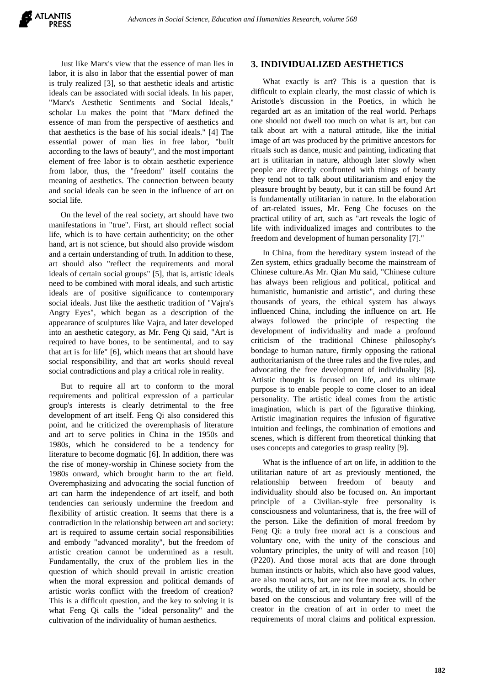Just like Marx's view that the essence of man lies in labor, it is also in labor that the essential power of man is truly realized [3], so that aesthetic ideals and artistic ideals can be associated with social ideals. In his paper, "Marx's Aesthetic Sentiments and Social Ideals," scholar Lu makes the point that "Marx defined the essence of man from the perspective of aesthetics and that aesthetics is the base of his social ideals." [4] The essential power of man lies in free labor, "built according to the laws of beauty", and the most important element of free labor is to obtain aesthetic experience from labor, thus, the "freedom" itself contains the meaning of aesthetics. The connection between beauty and social ideals can be seen in the influence of art on social life.

On the level of the real society, art should have two manifestations in "true". First, art should reflect social life, which is to have certain authenticity; on the other hand, art is not science, but should also provide wisdom and a certain understanding of truth. In addition to these, art should also "reflect the requirements and moral ideals of certain social groups" [5], that is, artistic ideals need to be combined with moral ideals, and such artistic ideals are of positive significance to contemporary social ideals. Just like the aesthetic tradition of "Vajra's Angry Eyes", which began as a description of the appearance of sculptures like Vajra, and later developed into an aesthetic category, as Mr. Feng Qi said, "Art is required to have bones, to be sentimental, and to say that art is for life" [6], which means that art should have social responsibility, and that art works should reveal social contradictions and play a critical role in reality.

But to require all art to conform to the moral requirements and political expression of a particular group's interests is clearly detrimental to the free development of art itself. Feng Qi also considered this point, and he criticized the overemphasis of literature and art to serve politics in China in the 1950s and 1980s, which he considered to be a tendency for literature to become dogmatic [6]. In addition, there was the rise of money-worship in Chinese society from the 1980s onward, which brought harm to the art field. Overemphasizing and advocating the social function of art can harm the independence of art itself, and both tendencies can seriously undermine the freedom and flexibility of artistic creation. It seems that there is a contradiction in the relationship between art and society: art is required to assume certain social responsibilities and embody "advanced morality", but the freedom of artistic creation cannot be undermined as a result. Fundamentally, the crux of the problem lies in the question of which should prevail in artistic creation when the moral expression and political demands of artistic works conflict with the freedom of creation? This is a difficult question, and the key to solving it is what Feng Qi calls the "ideal personality" and the cultivation of the individuality of human aesthetics.

## **3. INDIVIDUALIZED AESTHETICS**

What exactly is art? This is a question that is difficult to explain clearly, the most classic of which is Aristotle's discussion in the Poetics, in which he regarded art as an imitation of the real world. Perhaps one should not dwell too much on what is art, but can talk about art with a natural attitude, like the initial image of art was produced by the primitive ancestors for rituals such as dance, music and painting, indicating that art is utilitarian in nature, although later slowly when people are directly confronted with things of beauty they tend not to talk about utilitarianism and enjoy the pleasure brought by beauty, but it can still be found Art is fundamentally utilitarian in nature. In the elaboration of art-related issues, Mr. Feng Che focuses on the practical utility of art, such as "art reveals the logic of life with individualized images and contributes to the freedom and development of human personality [7]."

In China, from the hereditary system instead of the Zen system, ethics gradually become the mainstream of Chinese culture.As Mr. Qian Mu said, "Chinese culture has always been religious and political, political and humanistic, humanistic and artistic", and during these thousands of years, the ethical system has always influenced China, including the influence on art. He always followed the principle of respecting the development of individuality and made a profound criticism of the traditional Chinese philosophy's bondage to human nature, firmly opposing the rational authoritarianism of the three rules and the five rules, and advocating the free development of individuality [8]. Artistic thought is focused on life, and its ultimate purpose is to enable people to come closer to an ideal personality. The artistic ideal comes from the artistic imagination, which is part of the figurative thinking. Artistic imagination requires the infusion of figurative intuition and feelings, the combination of emotions and scenes, which is different from theoretical thinking that uses concepts and categories to grasp reality [9].

What is the influence of art on life, in addition to the utilitarian nature of art as previously mentioned, the relationship between freedom of beauty and individuality should also be focused on. An important principle of a Civilian-style free personality is consciousness and voluntariness, that is, the free will of the person. Like the definition of moral freedom by Feng Qi: a truly free moral act is a conscious and voluntary one, with the unity of the conscious and voluntary principles, the unity of will and reason [10] (P220). And those moral acts that are done through human instincts or habits, which also have good values, are also moral acts, but are not free moral acts. In other words, the utility of art, in its role in society, should be based on the conscious and voluntary free will of the creator in the creation of art in order to meet the requirements of moral claims and political expression.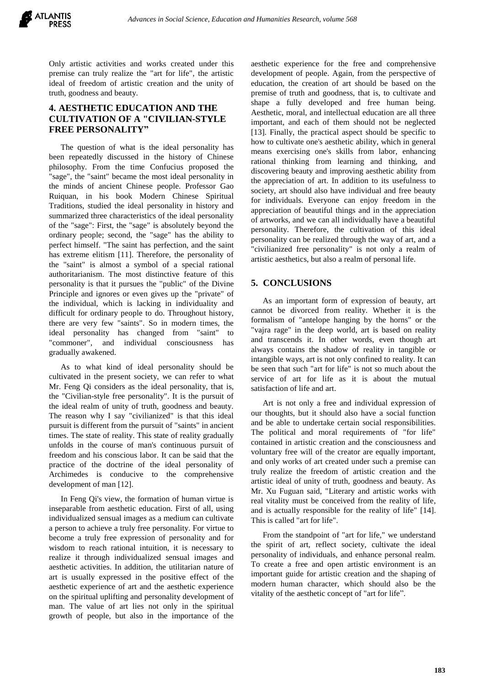Only artistic activities and works created under this premise can truly realize the "art for life", the artistic ideal of freedom of artistic creation and the unity of truth, goodness and beauty.

# **4. AESTHETIC EDUCATION AND THE CULTIVATION OF A "CIVILIAN-STYLE FREE PERSONALITY"**

The question of what is the ideal personality has been repeatedly discussed in the history of Chinese philosophy. From the time Confucius proposed the "sage", the "saint" became the most ideal personality in the minds of ancient Chinese people. Professor Gao Ruiquan, in his book Modern Chinese Spiritual Traditions, studied the ideal personality in history and summarized three characteristics of the ideal personality of the "sage": First, the "sage" is absolutely beyond the ordinary people; second, the "sage" has the ability to perfect himself. "The saint has perfection, and the saint has extreme elitism [11]. Therefore, the personality of the "saint" is almost a symbol of a special rational authoritarianism. The most distinctive feature of this personality is that it pursues the "public" of the Divine Principle and ignores or even gives up the "private" of the individual, which is lacking in individuality and difficult for ordinary people to do. Throughout history, there are very few "saints". So in modern times, the ideal personality has changed from "saint" to "commoner", and individual consciousness has gradually awakened.

As to what kind of ideal personality should be cultivated in the present society, we can refer to what Mr. Feng Qi considers as the ideal personality, that is, the "Civilian-style free personality". It is the pursuit of the ideal realm of unity of truth, goodness and beauty. The reason why I say "civilianized" is that this ideal pursuit is different from the pursuit of "saints" in ancient times. The state of reality. This state of reality gradually unfolds in the course of man's continuous pursuit of freedom and his conscious labor. It can be said that the practice of the doctrine of the ideal personality of Archimedes is conducive to the comprehensive development of man [12].

In Feng Qi's view, the formation of human virtue is inseparable from aesthetic education. First of all, using individualized sensual images as a medium can cultivate a person to achieve a truly free personality. For virtue to become a truly free expression of personality and for wisdom to reach rational intuition, it is necessary to realize it through individualized sensual images and aesthetic activities. In addition, the utilitarian nature of art is usually expressed in the positive effect of the aesthetic experience of art and the aesthetic experience on the spiritual uplifting and personality development of man. The value of art lies not only in the spiritual growth of people, but also in the importance of the aesthetic experience for the free and comprehensive development of people. Again, from the perspective of education, the creation of art should be based on the premise of truth and goodness, that is, to cultivate and shape a fully developed and free human being. Aesthetic, moral, and intellectual education are all three important, and each of them should not be neglected [13]. Finally, the practical aspect should be specific to how to cultivate one's aesthetic ability, which in general means exercising one's skills from labor, enhancing rational thinking from learning and thinking, and discovering beauty and improving aesthetic ability from the appreciation of art. In addition to its usefulness to society, art should also have individual and free beauty for individuals. Everyone can enjoy freedom in the appreciation of beautiful things and in the appreciation of artworks, and we can all individually have a beautiful personality. Therefore, the cultivation of this ideal personality can be realized through the way of art, and a "civilianized free personality" is not only a realm of artistic aesthetics, but also a realm of personal life.

# **5. CONCLUSIONS**

As an important form of expression of beauty, art cannot be divorced from reality. Whether it is the formalism of "antelope hanging by the horns" or the "vajra rage" in the deep world, art is based on reality and transcends it. In other words, even though art always contains the shadow of reality in tangible or intangible ways, art is not only confined to reality. It can be seen that such "art for life" is not so much about the service of art for life as it is about the mutual satisfaction of life and art.

Art is not only a free and individual expression of our thoughts, but it should also have a social function and be able to undertake certain social responsibilities. The political and moral requirements of "for life" contained in artistic creation and the consciousness and voluntary free will of the creator are equally important, and only works of art created under such a premise can truly realize the freedom of artistic creation and the artistic ideal of unity of truth, goodness and beauty. As Mr. Xu Fuguan said, "Literary and artistic works with real vitality must be conceived from the reality of life, and is actually responsible for the reality of life" [14]. This is called "art for life".

From the standpoint of "art for life," we understand the spirit of art, reflect society, cultivate the ideal personality of individuals, and enhance personal realm. To create a free and open artistic environment is an important guide for artistic creation and the shaping of modern human character, which should also be the vitality of the aesthetic concept of "art for life".